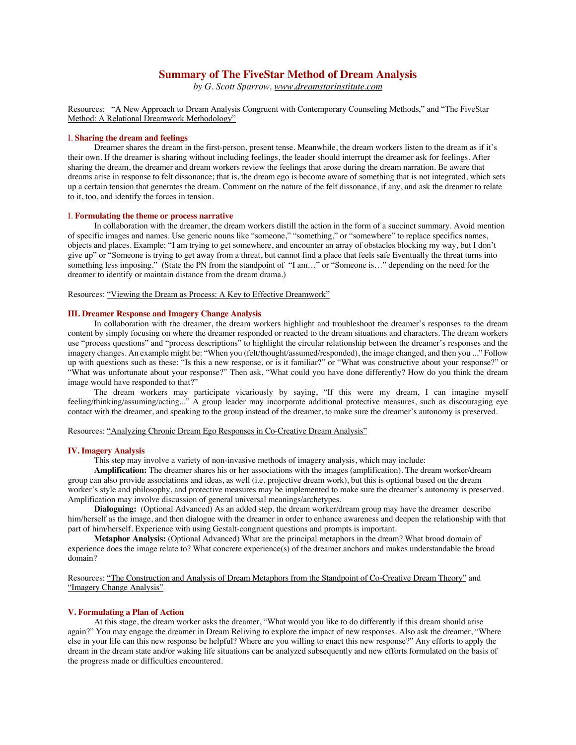# **Summary of The FiveStar Method of Dream Analysis**

*by G. Scott Sparrow, www.dreamstarinstitute.com*

### Resources: "A New Approach to Dream Analysis Congruent with Contemporary Counseling Methods," and "The FiveStar Method: A Relational Dreamwork Methodology"

#### I. **Sharing the dream and feelings**

Dreamer shares the dream in the first-person, present tense. Meanwhile, the dream workers listen to the dream as if it's their own. If the dreamer is sharing without including feelings, the leader should interrupt the dreamer ask for feelings. After sharing the dream, the dreamer and dream workers review the feelings that arose during the dream narration. Be aware that dreams arise in response to felt dissonance; that is, the dream ego is become aware of something that is not integrated, which sets up a certain tension that generates the dream. Comment on the nature of the felt dissonance, if any, and ask the dreamer to relate to it, too, and identify the forces in tension.

#### I. **Formulating the theme or process narrative**

In collaboration with the dreamer, the dream workers distill the action in the form of a succinct summary. Avoid mention of specific images and names. Use generic nouns like "someone," "something," or "somewhere" to replace specifics names, objects and places. Example: "I am trying to get somewhere, and encounter an array of obstacles blocking my way, but I don't give up" or "Someone is trying to get away from a threat, but cannot find a place that feels safe Eventually the threat turns into something less imposing." (State the PN from the standpoint of "I am…" or "Someone is…" depending on the need for the dreamer to identify or maintain distance from the dream drama.)

Resources: "Viewing the Dream as Process: A Key to Effective Dreamwork"

#### **III. Dreamer Response and Imagery Change Analysis**

In collaboration with the dreamer, the dream workers highlight and troubleshoot the dreamer's responses to the dream content by simply focusing on where the dreamer responded or reacted to the dream situations and characters. The dream workers use "process questions" and "process descriptions" to highlight the circular relationship between the dreamer's responses and the imagery changes. An example might be: "When you (felt/thought/assumed/responded), the image changed, and then you ..." Follow up with questions such as these: "Is this a new response, or is it familiar?" or "What was constructive about your response?" or "What was unfortunate about your response?" Then ask, "What could you have done differently? How do you think the dream image would have responded to that?"

The dream workers may participate vicariously by saying, "If this were my dream, I can imagine myself feeling/thinking/assuming/acting..." A group leader may incorporate additional protective measures, such as discouraging eye contact with the dreamer, and speaking to the group instead of the dreamer, to make sure the dreamer's autonomy is preserved.

Resources: "Analyzing Chronic Dream Ego Responses in Co-Creative Dream Analysis"

#### **IV. Imagery Analysis**

This step may involve a variety of non-invasive methods of imagery analysis, which may include:

**Amplification:** The dreamer shares his or her associations with the images (amplification). The dream worker/dream group can also provide associations and ideas, as well (i.e. projective dream work), but this is optional based on the dream worker's style and philosophy, and protective measures may be implemented to make sure the dreamer's autonomy is preserved. Amplification may involve discussion of general universal meanings/archetypes.

**Dialoguing:** (Optional Advanced) As an added step, the dream worker/dream group may have the dreamer describe him/herself as the image, and then dialogue with the dreamer in order to enhance awareness and deepen the relationship with that part of him/herself. Experience with using Gestalt-congruent questions and prompts is important.

**Metaphor Analysis:** (Optional Advanced) What are the principal metaphors in the dream? What broad domain of experience does the image relate to? What concrete experience(s) of the dreamer anchors and makes understandable the broad domain?

Resources: "The Construction and Analysis of Dream Metaphors from the Standpoint of Co-Creative Dream Theory" and "Imagery Change Analysis"

## **V. Formulating a Plan of Action**

At this stage, the dream worker asks the dreamer, "What would you like to do differently if this dream should arise again?" You may engage the dreamer in Dream Reliving to explore the impact of new responses. Also ask the dreamer, "Where else in your life can this new response be helpful? Where are you willing to enact this new response?" Any efforts to apply the dream in the dream state and/or waking life situations can be analyzed subsequently and new efforts formulated on the basis of the progress made or difficulties encountered.